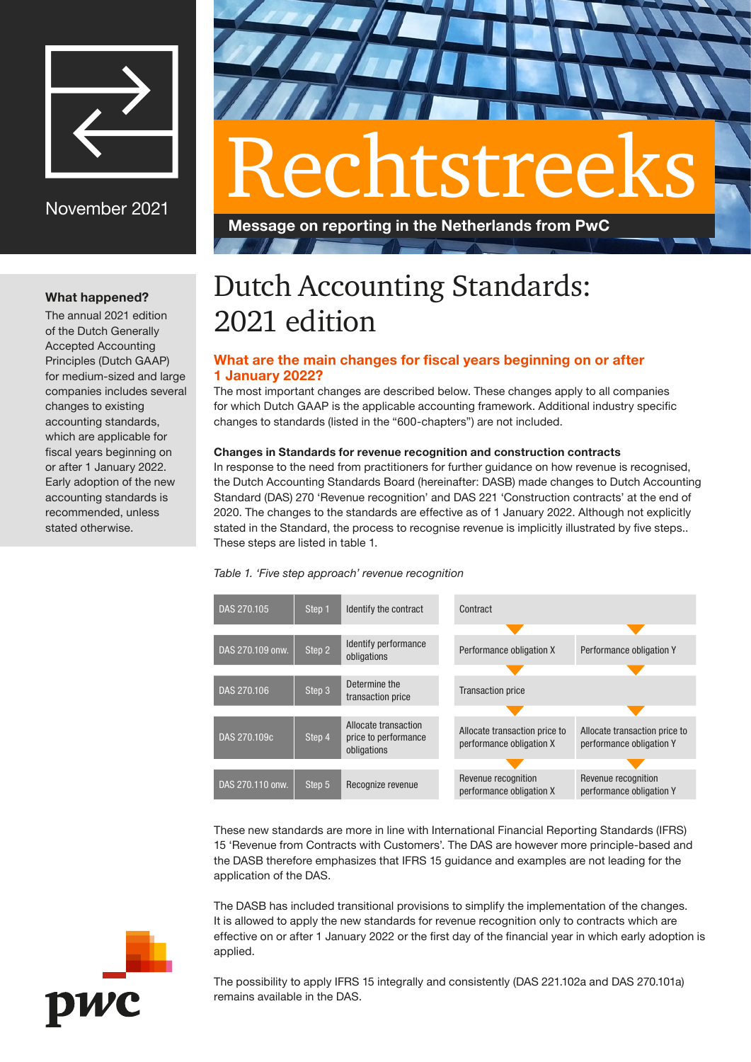

November 2021

# What happened?

The annual 2021 edition of the Dutch Generally Accepted Accounting Principles (Dutch GAAP) for medium-sized and large companies includes several changes to existing accounting standards, which are applicable for fiscal years beginning on or after 1 January 2022. Early adoption of the new accounting standards is recommended, unless stated otherwise.



# Rechtstreeks

Message on reporting in the Netherlands from PwC

# Dutch Accounting Standards: 2021 edition

# What are the main changes for fiscal years beginning on or after 1 January 2022?

The most important changes are described below. These changes apply to all companies for which Dutch GAAP is the applicable accounting framework. Additional industry specific changes to standards (listed in the "600-chapters") are not included.

# Changes in Standards for revenue recognition and construction contracts

In response to the need from practitioners for further guidance on how revenue is recognised, the Dutch Accounting Standards Board (hereinafter: DASB) made changes to Dutch Accounting Standard (DAS) 270 'Revenue recognition' and DAS 221 'Construction contracts' at the end of 2020. The changes to the standards are effective as of 1 January 2022. Although not explicitly stated in the Standard, the process to recognise revenue is implicitly illustrated by five steps.. These steps are listed in table 1.

# Table 1. 'Five step approach' revenue recognition



These new standards are more in line with International Financial Reporting Standards (IFRS) 15 'Revenue from Contracts with Customers'. The DAS are however more principle-based and the DASB therefore emphasizes that IFRS 15 guidance and examples are not leading for the application of the DAS.

The DASB has included transitional provisions to simplify the implementation of the changes. It is allowed to apply the new standards for revenue recognition only to contracts which are effective on or after 1 January 2022 or the first day of the financial year in which early adoption is applied.

The possibility to apply IFRS 15 integrally and consistently (DAS 221.102a and DAS 270.101a) remains available in the DAS.

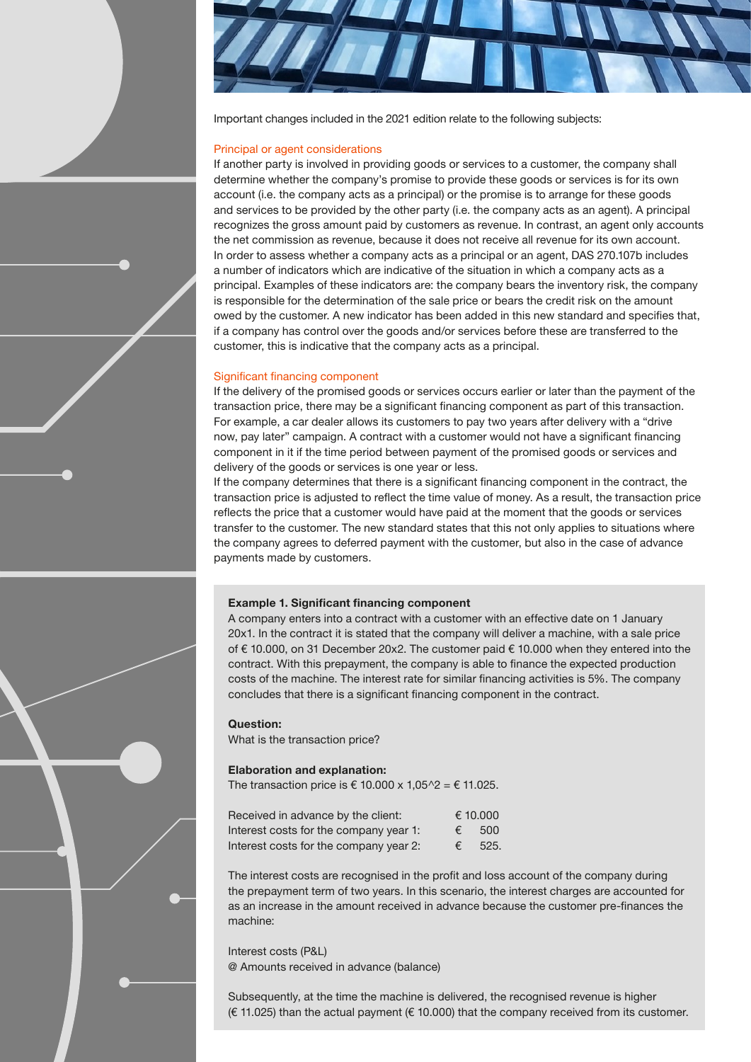

Important changes included in the 2021 edition relate to the following subjects:

#### Principal or agent considerations

If another party is involved in providing goods or services to a customer, the company shall determine whether the company's promise to provide these goods or services is for its own account (i.e. the company acts as a principal) or the promise is to arrange for these goods and services to be provided by the other party (i.e. the company acts as an agent). A principal recognizes the gross amount paid by customers as revenue. In contrast, an agent only accounts the net commission as revenue, because it does not receive all revenue for its own account. In order to assess whether a company acts as a principal or an agent, DAS 270.107b includes a number of indicators which are indicative of the situation in which a company acts as a principal. Examples of these indicators are: the company bears the inventory risk, the company is responsible for the determination of the sale price or bears the credit risk on the amount owed by the customer. A new indicator has been added in this new standard and specifies that, if a company has control over the goods and/or services before these are transferred to the customer, this is indicative that the company acts as a principal.

#### Significant financing component

If the delivery of the promised goods or services occurs earlier or later than the payment of the transaction price, there may be a significant financing component as part of this transaction. For example, a car dealer allows its customers to pay two years after delivery with a "drive now, pay later" campaign. A contract with a customer would not have a significant financing component in it if the time period between payment of the promised goods or services and delivery of the goods or services is one year or less.

If the company determines that there is a significant financing component in the contract, the transaction price is adjusted to reflect the time value of money. As a result, the transaction price reflects the price that a customer would have paid at the moment that the goods or services transfer to the customer. The new standard states that this not only applies to situations where the company agrees to deferred payment with the customer, but also in the case of advance payments made by customers.

#### Example 1. Significant financing component

A company enters into a contract with a customer with an effective date on 1 January 20x1. In the contract it is stated that the company will deliver a machine, with a sale price of € 10.000, on 31 December 20x2. The customer paid € 10.000 when they entered into the contract. With this prepayment, the company is able to finance the expected production costs of the machine. The interest rate for similar financing activities is 5%. The company concludes that there is a significant financing component in the contract.

#### Question:

What is the transaction price?

#### Elaboration and explanation:

The transaction price is  $\epsilon$  10.000 x 1,05^2 =  $\epsilon$  11.025.

| Received in advance by the client:     | € 10,000   |      |
|----------------------------------------|------------|------|
| Interest costs for the company year 1: | €          | 500  |
| Interest costs for the company year 2: | $\epsilon$ | 525. |

The interest costs are recognised in the profit and loss account of the company during the prepayment term of two years. In this scenario, the interest charges are accounted for as an increase in the amount received in advance because the customer pre-finances the machine:

Interest costs (P&L) @ Amounts received in advance (balance)

Subsequently, at the time the machine is delivered, the recognised revenue is higher (€ 11.025) than the actual payment (€ 10.000) that the company received from its customer.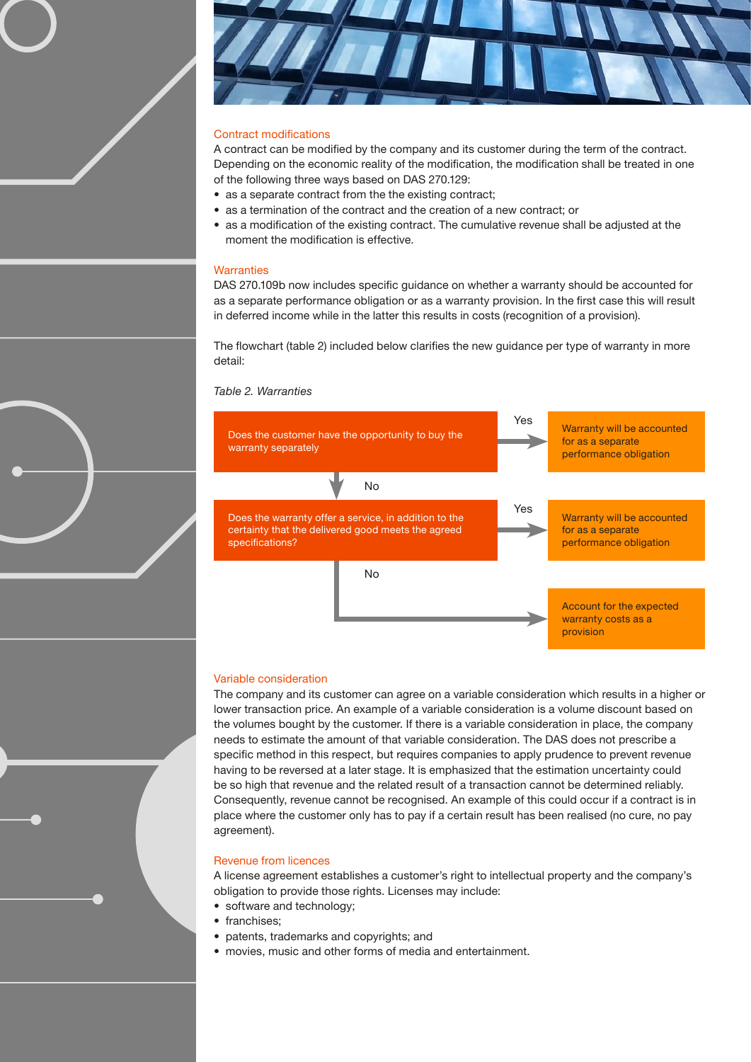

#### Contract modifications

A contract can be modified by the company and its customer during the term of the contract. Depending on the economic reality of the modification, the modification shall be treated in one of the following three ways based on DAS 270.129:

- as a separate contract from the the existing contract;
- as a termination of the contract and the creation of a new contract; or
- as a modification of the existing contract. The cumulative revenue shall be adjusted at the moment the modification is effective.

#### **Warranties**

DAS 270.109b now includes specific guidance on whether a warranty should be accounted for as a separate performance obligation or as a warranty provision. In the first case this will result in deferred income while in the latter this results in costs (recognition of a provision).

The flowchart (table 2) included below clarifies the new guidance per type of warranty in more detail:

#### Table 2. Warranties



#### Variable consideration

The company and its customer can agree on a variable consideration which results in a higher or lower transaction price. An example of a variable consideration is a volume discount based on the volumes bought by the customer. If there is a variable consideration in place, the company needs to estimate the amount of that variable consideration. The DAS does not prescribe a specific method in this respect, but requires companies to apply prudence to prevent revenue having to be reversed at a later stage. It is emphasized that the estimation uncertainty could be so high that revenue and the related result of a transaction cannot be determined reliably. Consequently, revenue cannot be recognised. An example of this could occur if a contract is in place where the customer only has to pay if a certain result has been realised (no cure, no pay agreement).

#### Revenue from licences

A license agreement establishes a customer's right to intellectual property and the company's obligation to provide those rights. Licenses may include:

- software and technology:
- franchises;
- patents, trademarks and copyrights; and
- movies, music and other forms of media and entertainment.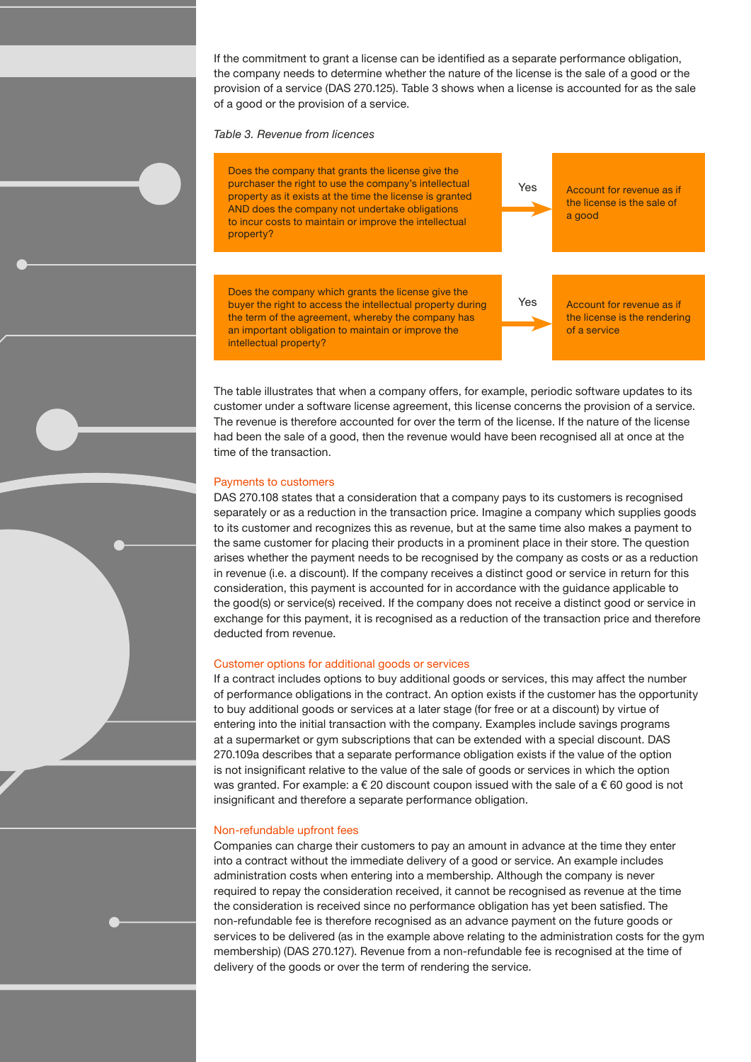If the commitment to grant a license can be identified as a separate performance obligation, the company needs to determine whether the nature of the license is the sale of a good or the provision of a service (DAS 270.125). Table 3 shows when a license is accounted for as the sale of a good or the provision of a service.

Table 3. Revenue from licences



The table illustrates that when a company offers, for example, periodic software updates to its customer under a software license agreement, this license concerns the provision of a service. The revenue is therefore accounted for over the term of the license. If the nature of the license had been the sale of a good, then the revenue would have been recognised all at once at the time of the transaction.

#### Payments to customers

DAS 270.108 states that a consideration that a company pays to its customers is recognised separately or as a reduction in the transaction price. Imagine a company which supplies goods to its customer and recognizes this as revenue, but at the same time also makes a payment to the same customer for placing their products in a prominent place in their store. The question arises whether the payment needs to be recognised by the company as costs or as a reduction in revenue (i.e. a discount). If the company receives a distinct good or service in return for this consideration, this payment is accounted for in accordance with the guidance applicable to the good(s) or service(s) received. If the company does not receive a distinct good or service in exchange for this payment, it is recognised as a reduction of the transaction price and therefore deducted from revenue.

#### Customer options for additional goods or services

If a contract includes options to buy additional goods or services, this may affect the number of performance obligations in the contract. An option exists if the customer has the opportunity to buy additional goods or services at a later stage (for free or at a discount) by virtue of entering into the initial transaction with the company. Examples include savings programs at a supermarket or gym subscriptions that can be extended with a special discount. DAS 270.109a describes that a separate performance obligation exists if the value of the option is not insignificant relative to the value of the sale of goods or services in which the option was granted. For example:  $a \in 20$  discount coupon issued with the sale of  $a \in 60$  good is not insignificant and therefore a separate performance obligation.

#### Non-refundable upfront fees

Companies can charge their customers to pay an amount in advance at the time they enter into a contract without the immediate delivery of a good or service. An example includes administration costs when entering into a membership. Although the company is never required to repay the consideration received, it cannot be recognised as revenue at the time the consideration is received since no performance obligation has yet been satisfied. The non-refundable fee is therefore recognised as an advance payment on the future goods or services to be delivered (as in the example above relating to the administration costs for the gym membership) (DAS 270.127). Revenue from a non-refundable fee is recognised at the time of delivery of the goods or over the term of rendering the service.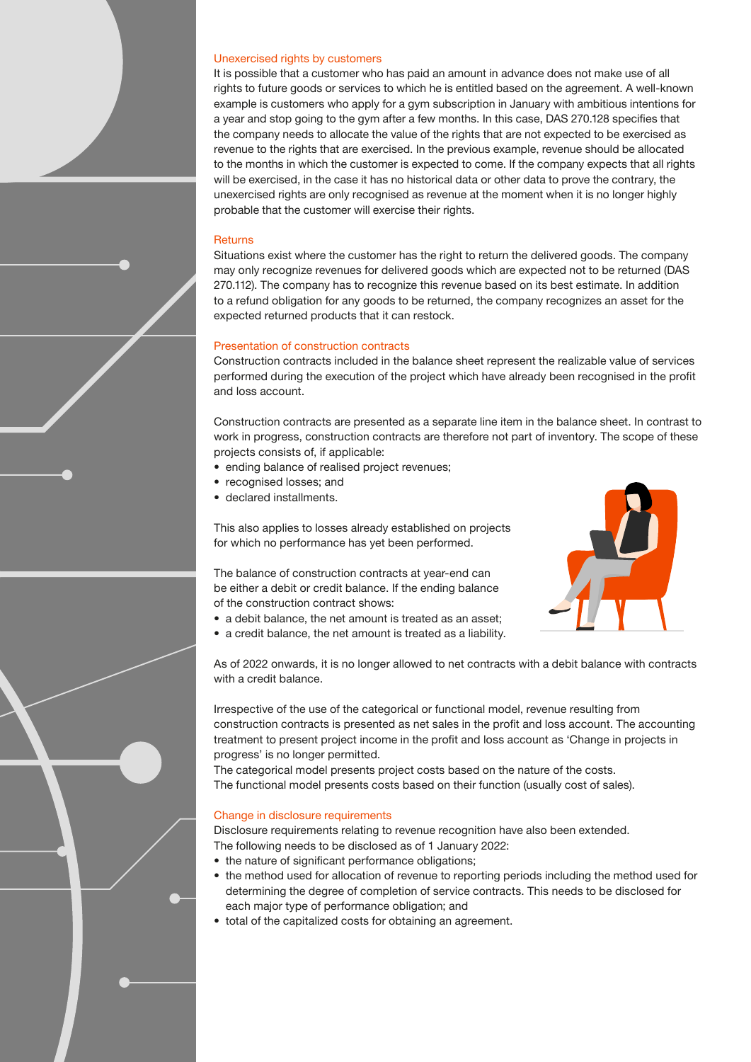#### Unexercised rights by customers

It is possible that a customer who has paid an amount in advance does not make use of all rights to future goods or services to which he is entitled based on the agreement. A well-known example is customers who apply for a gym subscription in January with ambitious intentions for a year and stop going to the gym after a few months. In this case, DAS 270.128 specifies that the company needs to allocate the value of the rights that are not expected to be exercised as revenue to the rights that are exercised. In the previous example, revenue should be allocated to the months in which the customer is expected to come. If the company expects that all rights will be exercised, in the case it has no historical data or other data to prove the contrary, the unexercised rights are only recognised as revenue at the moment when it is no longer highly probable that the customer will exercise their rights.

#### Returns

Situations exist where the customer has the right to return the delivered goods. The company may only recognize revenues for delivered goods which are expected not to be returned (DAS 270.112). The company has to recognize this revenue based on its best estimate. In addition to a refund obligation for any goods to be returned, the company recognizes an asset for the expected returned products that it can restock.

#### Presentation of construction contracts

Construction contracts included in the balance sheet represent the realizable value of services performed during the execution of the project which have already been recognised in the profit and loss account.

Construction contracts are presented as a separate line item in the balance sheet. In contrast to work in progress, construction contracts are therefore not part of inventory. The scope of these projects consists of, if applicable:

- ending balance of realised project revenues;
- recognised losses; and
- declared installments.

This also applies to losses already established on projects for which no performance has yet been performed.

The balance of construction contracts at year-end can be either a debit or credit balance. If the ending balance of the construction contract shows:

- 
- a debit balance, the net amount is treated as an asset; • a credit balance, the net amount is treated as a liability.

As of 2022 onwards, it is no longer allowed to net contracts with a debit balance with contracts with a credit balance.

Irrespective of the use of the categorical or functional model, revenue resulting from construction contracts is presented as net sales in the profit and loss account. The accounting treatment to present project income in the profit and loss account as 'Change in projects in progress' is no longer permitted.

The categorical model presents project costs based on the nature of the costs. The functional model presents costs based on their function (usually cost of sales).

#### Change in disclosure requirements

Disclosure requirements relating to revenue recognition have also been extended. The following needs to be disclosed as of 1 January 2022:

- the nature of significant performance obligations:
- the method used for allocation of revenue to reporting periods including the method used for determining the degree of completion of service contracts. This needs to be disclosed for each major type of performance obligation; and
- total of the capitalized costs for obtaining an agreement.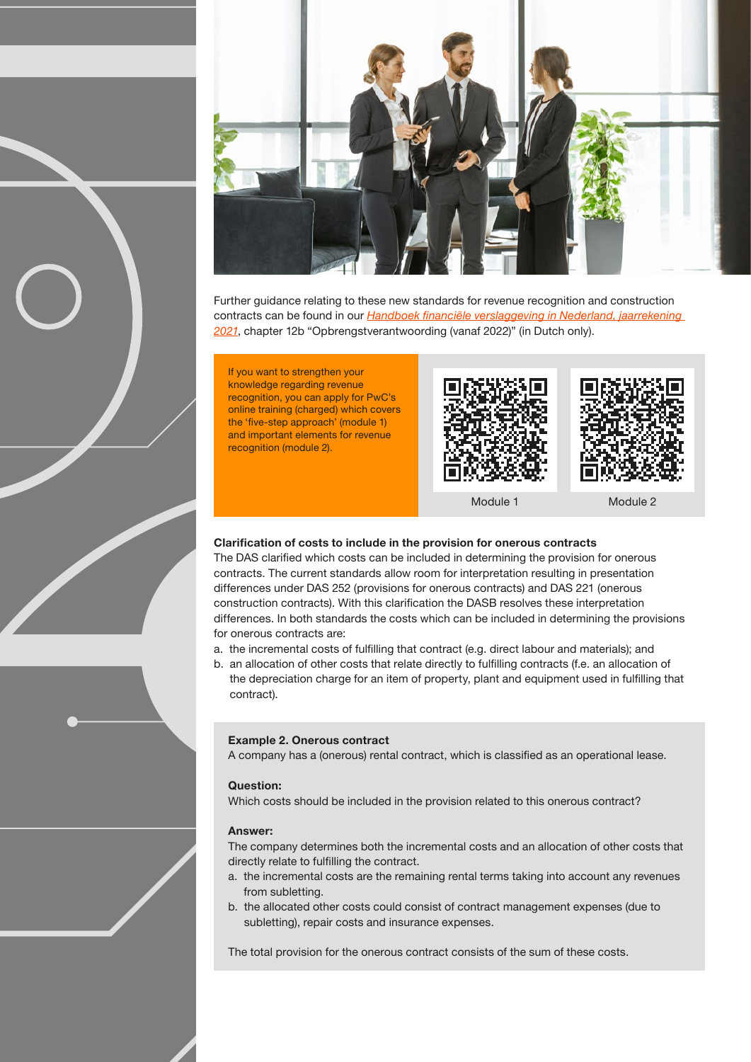

Further guidance relating to these new standards for revenue recognition and construction contracts can be found in our Handboek financiële verslaggeving in Nederland, jaarrekening [2021](https://www.pwc.nl/nl/actueel-en-publicaties/diensten-en-sectoren/audit-assurance/handboek-jaarrekening-2021.html), chapter 12b "Opbrengstverantwoording (vanaf 2022)" (in Dutch only).

If you want to strengthen your knowledge regarding revenue recognition, you can apply for PwC's online training (charged) which covers the 'five-step approach' (module 1) and important elements for revenue recognition (module 2).





Module 1 Module 2

#### Clarification of costs to include in the provision for onerous contracts

The DAS clarified which costs can be included in determining the provision for onerous contracts. The current standards allow room for interpretation resulting in presentation differences under DAS 252 (provisions for onerous contracts) and DAS 221 (onerous construction contracts). With this clarification the DASB resolves these interpretation differences. In both standards the costs which can be included in determining the provisions for onerous contracts are:

- a. the incremental costs of fulfilling that contract (e.g. direct labour and materials); and
- b. an allocation of other costs that relate directly to fulfilling contracts (f.e. an allocation of the depreciation charge for an item of property, plant and equipment used in fulfilling that contract).

#### Example 2. Onerous contract

A company has a (onerous) rental contract, which is classified as an operational lease.

#### Question:

Which costs should be included in the provision related to this onerous contract?

#### Answer:

The company determines both the incremental costs and an allocation of other costs that directly relate to fulfilling the contract.

- a. the incremental costs are the remaining rental terms taking into account any revenues from subletting.
- b. the allocated other costs could consist of contract management expenses (due to subletting), repair costs and insurance expenses.

The total provision for the onerous contract consists of the sum of these costs.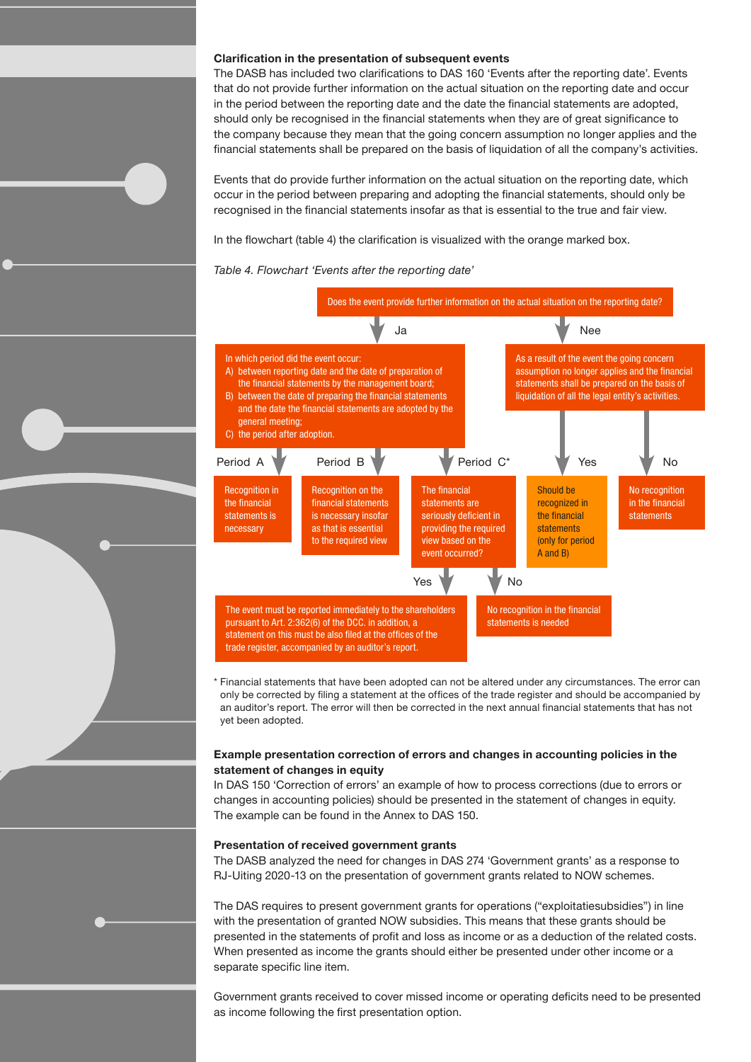#### Clarification in the presentation of subsequent events

The DASB has included two clarifications to DAS 160 'Events after the reporting date'. Events that do not provide further information on the actual situation on the reporting date and occur in the period between the reporting date and the date the financial statements are adopted, should only be recognised in the financial statements when they are of great significance to the company because they mean that the going concern assumption no longer applies and the financial statements shall be prepared on the basis of liquidation of all the company's activities.

Events that do provide further information on the actual situation on the reporting date, which occur in the period between preparing and adopting the financial statements, should only be recognised in the financial statements insofar as that is essential to the true and fair view.

In the flowchart (table 4) the clarification is visualized with the orange marked box.

Table 4. Flowchart 'Events after the reporting date'



\* Financial statements that have been adopted can not be altered under any circumstances. The error can only be corrected by filing a statement at the offices of the trade register and should be accompanied by an auditor's report. The error will then be corrected in the next annual financial statements that has not yet been adopted.

#### Example presentation correction of errors and changes in accounting policies in the statement of changes in equity

In DAS 150 'Correction of errors' an example of how to process corrections (due to errors or changes in accounting policies) should be presented in the statement of changes in equity. The example can be found in the Annex to DAS 150.

#### Presentation of received government grants

The DASB analyzed the need for changes in DAS 274 'Government grants' as a response to RJ-Uiting 2020-13 on the presentation of government grants related to NOW schemes.

The DAS requires to present government grants for operations ("exploitatiesubsidies") in line with the presentation of granted NOW subsidies. This means that these grants should be presented in the statements of profit and loss as income or as a deduction of the related costs. When presented as income the grants should either be presented under other income or a separate specific line item.

Government grants received to cover missed income or operating deficits need to be presented as income following the first presentation option.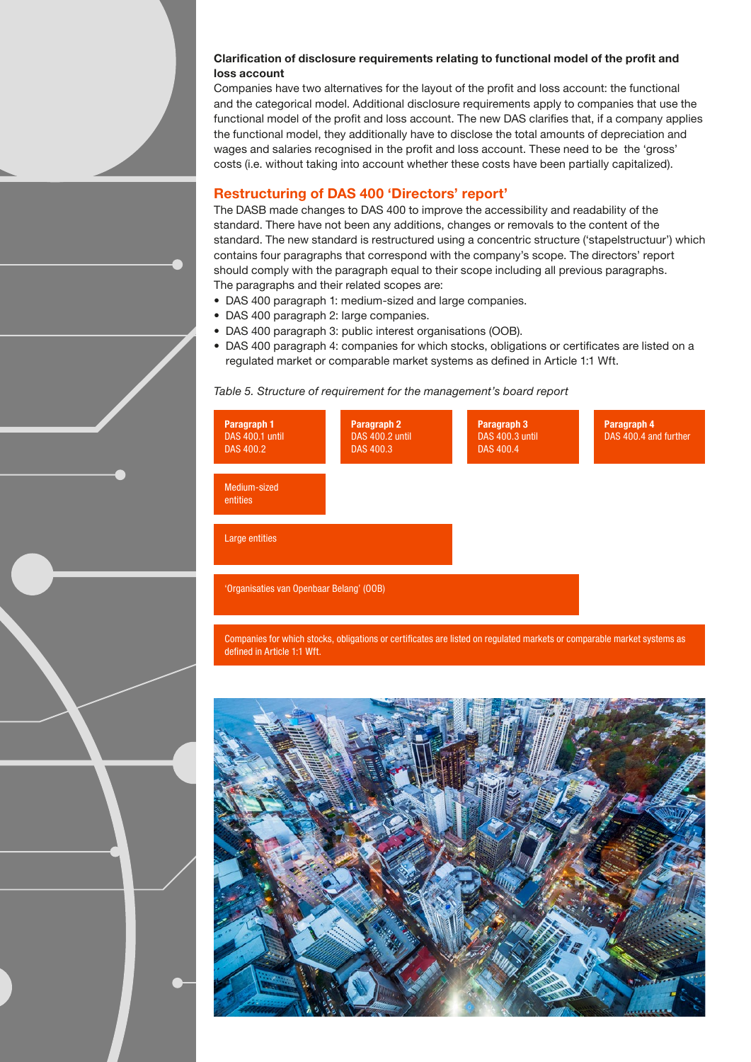### Clarification of disclosure requirements relating to functional model of the profit and loss account

Companies have two alternatives for the layout of the profit and loss account: the functional and the categorical model. Additional disclosure requirements apply to companies that use the functional model of the profit and loss account. The new DAS clarifies that, if a company applies the functional model, they additionally have to disclose the total amounts of depreciation and wages and salaries recognised in the profit and loss account. These need to be the 'gross' costs (i.e. without taking into account whether these costs have been partially capitalized).

# Restructuring of DAS 400 'Directors' report'

The DASB made changes to DAS 400 to improve the accessibility and readability of the standard. There have not been any additions, changes or removals to the content of the standard. The new standard is restructured using a concentric structure ('stapelstructuur') which contains four paragraphs that correspond with the company's scope. The directors' report should comply with the paragraph equal to their scope including all previous paragraphs. The paragraphs and their related scopes are:

- DAS 400 paragraph 1: medium-sized and large companies.
- DAS 400 paragraph 2: large companies.
- DAS 400 paragraph 3: public interest organisations (OOB).
- DAS 400 paragraph 4: companies for which stocks, obligations or certificates are listed on a regulated market or comparable market systems as defined in Article 1:1 Wft.

#### Table 5. Structure of requirement for the management's board report



Companies for which stocks, obligations or certificates are listed on regulated markets or comparable market systems as defined in Article 1:1 Wft.

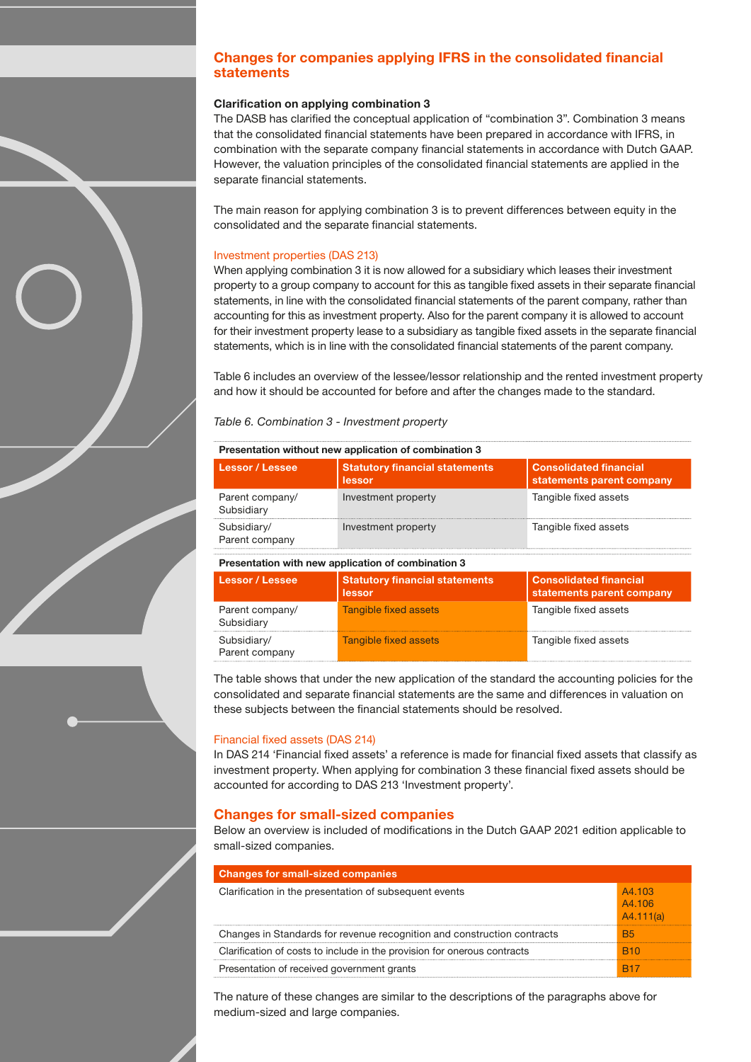# Changes for companies applying IFRS in the consolidated financial statements

# Clarification on applying combination 3

The DASB has clarified the conceptual application of "combination 3". Combination 3 means that the consolidated financial statements have been prepared in accordance with IFRS, in combination with the separate company financial statements in accordance with Dutch GAAP. However, the valuation principles of the consolidated financial statements are applied in the separate financial statements.

The main reason for applying combination 3 is to prevent differences between equity in the consolidated and the separate financial statements.

#### Investment properties (DAS 213)

When applying combination 3 it is now allowed for a subsidiary which leases their investment property to a group company to account for this as tangible fixed assets in their separate financial statements, in line with the consolidated financial statements of the parent company, rather than accounting for this as investment property. Also for the parent company it is allowed to account for their investment property lease to a subsidiary as tangible fixed assets in the separate financial statements, which is in line with the consolidated financial statements of the parent company.

Table 6 includes an overview of the lessee/lessor relationship and the rented investment property and how it should be accounted for before and after the changes made to the standard.

#### Table 6. Combination 3 - Investment property

#### Presentation without new application of combination 3

| <b>Statutory financial statements</b><br>lessor    | <b>Consolidated financial</b><br>statements parent company |  |  |  |
|----------------------------------------------------|------------------------------------------------------------|--|--|--|
| Investment property                                | Tangible fixed assets                                      |  |  |  |
| Investment property                                | Tangible fixed assets                                      |  |  |  |
| Presentation with new application of combination 3 |                                                            |  |  |  |
| <b>Statutory financial statements</b><br>lessor    | <b>Consolidated financial</b><br>statements parent company |  |  |  |
| <b>Tangible fixed assets</b>                       | Tangible fixed assets                                      |  |  |  |
| Tangible fixed assets                              | Tangible fixed assets                                      |  |  |  |
|                                                    |                                                            |  |  |  |

The table shows that under the new application of the standard the accounting policies for the consolidated and separate financial statements are the same and differences in valuation on these subjects between the financial statements should be resolved.

#### Financial fixed assets (DAS 214)

In DAS 214 'Financial fixed assets' a reference is made for financial fixed assets that classify as investment property. When applying for combination 3 these financial fixed assets should be accounted for according to DAS 213 'Investment property'.

#### Changes for small-sized companies

Below an overview is included of modifications in the Dutch GAAP 2021 edition applicable to small-sized companies.

| <b>Changes for small-sized companies</b>                                 |                               |
|--------------------------------------------------------------------------|-------------------------------|
| Clarification in the presentation of subsequent events                   | A4.103<br>A4.106<br>A4.111(a) |
| Changes in Standards for revenue recognition and construction contracts  | <b>B5</b>                     |
| Clarification of costs to include in the provision for onerous contracts |                               |
| Presentation of received government grants                               |                               |

The nature of these changes are similar to the descriptions of the paragraphs above for medium-sized and large companies.